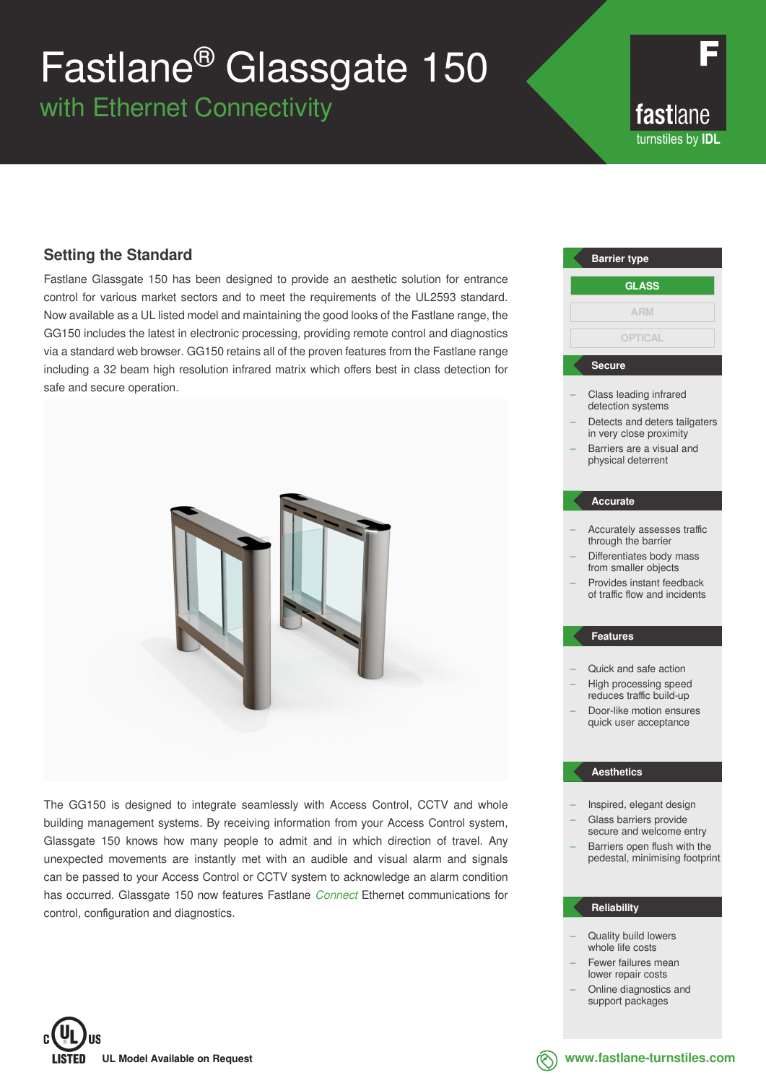# Fastlane® Glassgate 150

with Ethernet Connectivity

fastlane turnstiles by **IDL**

### **Setting the Standard**

Fastlane Glassgate 150 has been designed to provide an aesthetic solution for entrance control for various market sectors and to meet the requirements of the UL2593 standard. Now available as a UL listed model and maintaining the good looks of the Fastlane range, the GG150 includes the latest in electronic processing, providing remote control and diagnostics via a standard web browser. GG150 retains all of the proven features from the Fastlane range including a 32 beam high resolution infrared matrix which offers best in class detection for safe and secure operation.



The GG150 is designed to integrate seamlessly with Access Control, CCTV and whole building management systems. By receiving information from your Access Control system, Glassgate 150 knows how many people to admit and in which direction of travel. Any unexpected movements are instantly met with an audible and visual alarm and signals can be passed to your Access Control or CCTV system to acknowledge an alarm condition has occurred. Glassgate 150 now features Fastlane *Connect* Ethernet communications for control, configuration and diagnostics.



- Quick and safe action
- High processing speed reduces traffic build-up
- Door-like motion ensures quick user acceptance

#### **Aesthetics**

- Inspired, elegant design – Glass barriers provide
- secure and welcome entry – Barriers open flush with the pedestal, minimising footprint

#### **Reliability**

- Quality build lowers whole life costs
- Fewer failures mean lower repair costs
- Online diagnostics and support packages



**www.fastlane-turnstiles.com**